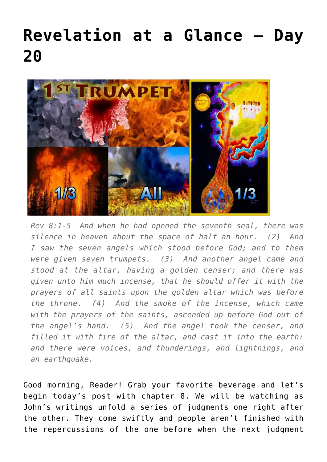## **[Revelation at a Glance – Day](https://maranatha.earnestlycontending.com/2022/06/03/revelation-at-a-glance-day-20/) [20](https://maranatha.earnestlycontending.com/2022/06/03/revelation-at-a-glance-day-20/)**



*Rev 8:1-5 And when he had opened the seventh seal, there was silence in heaven about the space of half an hour. (2) And I saw the seven angels which stood before God; and to them were given seven trumpets. (3) And another angel came and stood at the altar, having a golden censer; and there was given unto him much incense, that he should offer it with the prayers of all saints upon the golden altar which was before the throne. (4) And the smoke of the incense, which came with the prayers of the saints, ascended up before God out of the angel's hand. (5) And the angel took the censer, and filled it with fire of the altar, and cast it into the earth: and there were voices, and thunderings, and lightnings, and an earthquake.*

Good morning, Reader! Grab your favorite beverage and let's begin today's post with chapter 8. We will be watching as John's writings unfold a series of judgments one right after the other. They come swiftly and people aren't finished with the repercussions of the one before when the next judgment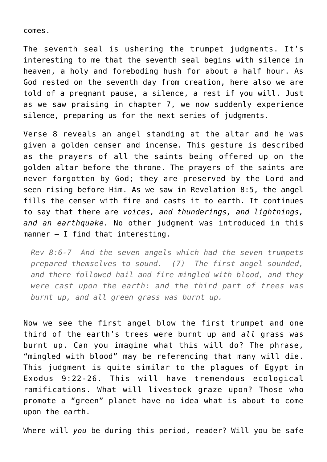comes.

The seventh seal is ushering the trumpet judgments. It's interesting to me that the seventh seal begins with silence in heaven, a holy and foreboding hush for about a half hour. As God rested on the seventh day from creation, here also we are told of a pregnant pause, a silence, a rest if you will. Just as we saw praising in chapter 7, we now suddenly experience silence, preparing us for the next series of judgments.

Verse 8 reveals an angel standing at the altar and he was given a golden censer and incense. This gesture is described as the prayers of all the saints being offered up on the golden altar before the throne. The prayers of the saints are never forgotten by God; they are preserved by the Lord and seen rising before Him. As we saw in Revelation 8:5, the angel fills the censer with fire and casts it to earth. It continues to say that there are *voices, and thunderings, and lightnings, and an earthquake.* No other judgment was introduced in this manner – I find that interesting.

*Rev 8:6-7 And the seven angels which had the seven trumpets prepared themselves to sound. (7) The first angel sounded, and there followed hail and fire mingled with blood, and they were cast upon the earth: and the third part of trees was burnt up, and all green grass was burnt up.*

Now we see the first angel blow the first trumpet and one third of the earth's trees were burnt up and *all* grass was burnt up. Can you imagine what this will do? The phrase, "mingled with blood" may be referencing that many will die. This judgment is quite similar to the plagues of Egypt in Exodus 9:22-26. This will have tremendous ecological ramifications. What will livestock graze upon? Those who promote a "green" planet have no idea what is about to come upon the earth.

Where will *you* be during this period, reader? Will you be safe